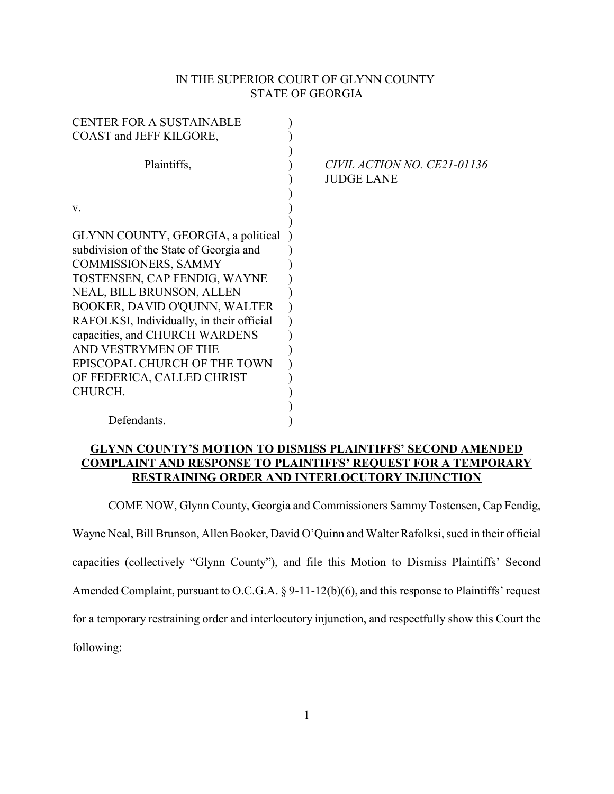## IN THE SUPERIOR COURT OF GLYNN COUNTY STATE OF GEORGIA

| <b>CENTER FOR A SUSTAINABLE</b>           |                             |
|-------------------------------------------|-----------------------------|
| COAST and JEFF KILGORE,                   |                             |
|                                           |                             |
| Plaintiffs,                               | CIVIL ACTION NO. CE21-01136 |
|                                           | <b>JUDGE LANE</b>           |
|                                           |                             |
| V.                                        |                             |
|                                           |                             |
| GLYNN COUNTY, GEORGIA, a political        |                             |
| subdivision of the State of Georgia and   |                             |
| <b>COMMISSIONERS, SAMMY</b>               |                             |
| TOSTENSEN, CAP FENDIG, WAYNE              |                             |
| NEAL, BILL BRUNSON, ALLEN                 |                             |
| BOOKER, DAVID O'QUINN, WALTER             |                             |
| RAFOLKSI, Individually, in their official |                             |
| capacities, and CHURCH WARDENS            |                             |
| AND VESTRYMEN OF THE                      |                             |
| EPISCOPAL CHURCH OF THE TOWN              |                             |
| OF FEDERICA, CALLED CHRIST                |                             |
| CHURCH.                                   |                             |
|                                           |                             |
| Defendants.                               |                             |

## GLYNN COUNTY'S MOTION TO DISMISS PLAINTIFFS' SECOND AMENDED COMPLAINT AND RESPONSE TO PLAINTIFFS' REQUEST FOR A TEMPORARY RESTRAINING ORDER AND INTERLOCUTORY INJUNCTION

COME NOW, Glynn County, Georgia and Commissioners Sammy Tostensen, Cap Fendig,

Wayne Neal, Bill Brunson, Allen Booker, David O'Quinn and Walter Rafolksi, sued in their official

capacities (collectively "Glynn County"), and file this Motion to Dismiss Plaintiffs' Second

Amended Complaint, pursuant to O.C.G.A. § 9-11-12(b)(6), and this response to Plaintiffs' request

for a temporary restraining order and interlocutory injunction, and respectfully show this Court the

following: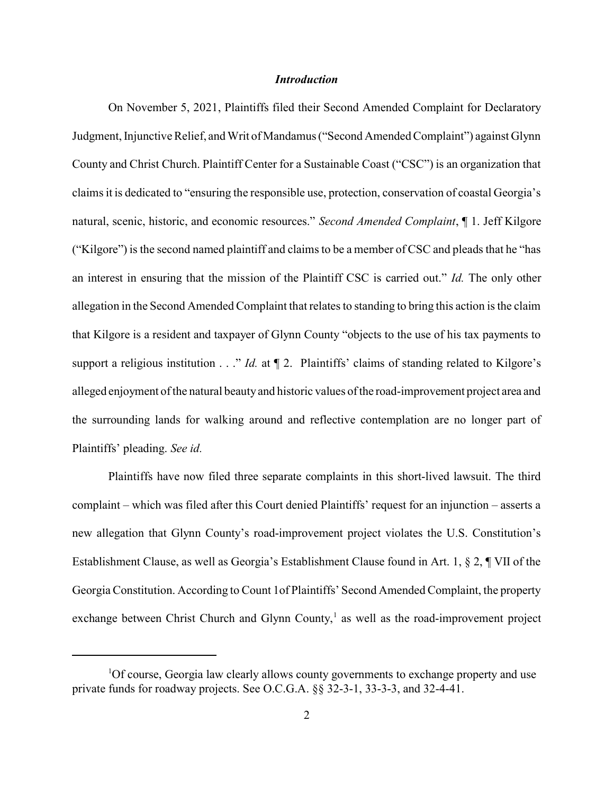### **Introduction**

On November 5, 2021, Plaintiffs filed their Second Amended Complaint for Declaratory Judgment, Injunctive Relief, and Writ of Mandamus ("Second Amended Complaint") against Glynn County and Christ Church. Plaintiff Center for a Sustainable Coast ("CSC") is an organization that claims it is dedicated to "ensuring the responsible use, protection, conservation of coastal Georgia's natural, scenic, historic, and economic resources." Second Amended Complaint, ¶ 1. Jeff Kilgore ("Kilgore") is the second named plaintiff and claims to be a member of CSC and pleads that he "has an interest in ensuring that the mission of the Plaintiff CSC is carried out." Id. The only other allegation in the Second Amended Complaint that relates to standing to bring this action is the claim that Kilgore is a resident and taxpayer of Glynn County "objects to the use of his tax payments to support a religious institution  $\ldots$ " *Id.* at  $\P$  2. Plaintiffs' claims of standing related to Kilgore's alleged enjoyment of the natural beauty and historic values of the road-improvement project area and the surrounding lands for walking around and reflective contemplation are no longer part of Plaintiffs' pleading. See id.

Plaintiffs have now filed three separate complaints in this short-lived lawsuit. The third complaint – which was filed after this Court denied Plaintiffs' request for an injunction – asserts a new allegation that Glynn County's road-improvement project violates the U.S. Constitution's Establishment Clause, as well as Georgia's Establishment Clause found in Art. 1, § 2, ¶ VII of the Georgia Constitution. According to Count 1of Plaintiffs' Second Amended Complaint, the property exchange between Christ Church and Glynn County, $<sup>1</sup>$  as well as the road-improvement project</sup>

 $1$ Of course, Georgia law clearly allows county governments to exchange property and use private funds for roadway projects. See O.C.G.A. §§ 32-3-1, 33-3-3, and 32-4-41.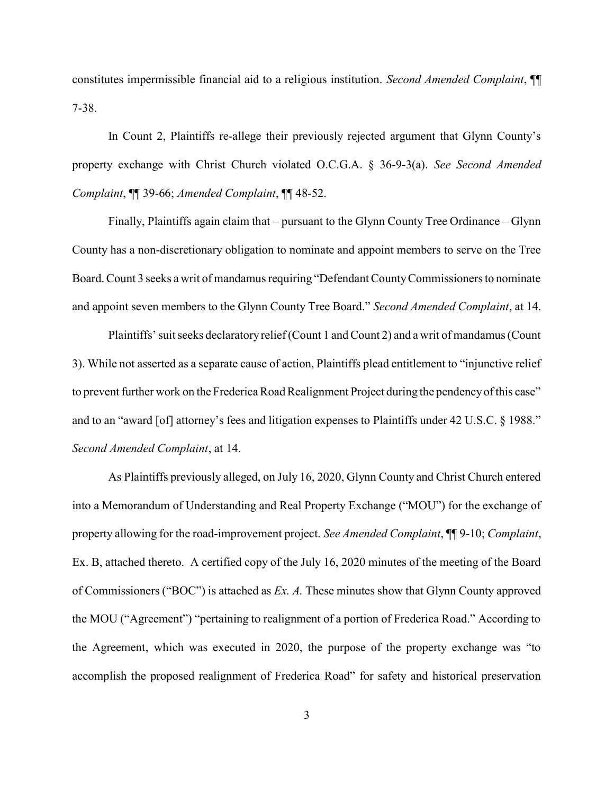constitutes impermissible financial aid to a religious institution. Second Amended Complaint, ¶¶ 7-38.

In Count 2, Plaintiffs re-allege their previously rejected argument that Glynn County's property exchange with Christ Church violated O.C.G.A. § 36-9-3(a). See Second Amended Complaint, ¶¶ 39-66; Amended Complaint, ¶¶ 48-52.

Finally, Plaintiffs again claim that – pursuant to the Glynn County Tree Ordinance – Glynn County has a non-discretionary obligation to nominate and appoint members to serve on the Tree Board. Count 3 seeks a writ of mandamus requiring "Defendant County Commissioners to nominate and appoint seven members to the Glynn County Tree Board." Second Amended Complaint, at 14.

Plaintiffs' suit seeks declaratory relief (Count 1 and Count 2) and a writ of mandamus (Count 3). While not asserted as a separate cause of action, Plaintiffs plead entitlement to "injunctive relief to prevent further work on the Frederica Road Realignment Project during the pendency of this case" and to an "award [of] attorney's fees and litigation expenses to Plaintiffs under 42 U.S.C. § 1988." Second Amended Complaint, at 14.

As Plaintiffs previously alleged, on July 16, 2020, Glynn County and Christ Church entered into a Memorandum of Understanding and Real Property Exchange ("MOU") for the exchange of property allowing for the road-improvement project. See Amended Complaint,  $\P\P$ 9-10; Complaint, Ex. B, attached thereto. A certified copy of the July 16, 2020 minutes of the meeting of the Board of Commissioners ("BOC") is attached as Ex. A. These minutes show that Glynn County approved the MOU ("Agreement") "pertaining to realignment of a portion of Frederica Road." According to the Agreement, which was executed in 2020, the purpose of the property exchange was "to accomplish the proposed realignment of Frederica Road" for safety and historical preservation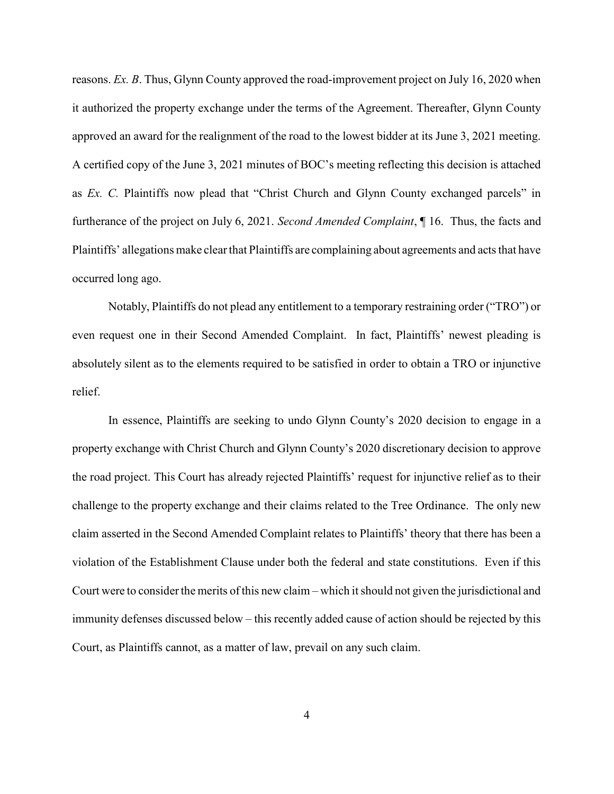reasons. Ex. B. Thus, Glynn County approved the road-improvement project on July 16, 2020 when it authorized the property exchange under the terms of the Agreement. Thereafter, Glynn County approved an award for the realignment of the road to the lowest bidder at its June 3, 2021 meeting. A certified copy of the June 3, 2021 minutes of BOC's meeting reflecting this decision is attached as Ex. C. Plaintiffs now plead that "Christ Church and Glynn County exchanged parcels" in furtherance of the project on July 6, 2021. Second Amended Complaint, ¶ 16. Thus, the facts and Plaintiffs' allegations make clear that Plaintiffs are complaining about agreements and acts that have occurred long ago.

Notably, Plaintiffs do not plead any entitlement to a temporary restraining order ("TRO") or even request one in their Second Amended Complaint. In fact, Plaintiffs' newest pleading is absolutely silent as to the elements required to be satisfied in order to obtain a TRO or injunctive relief.

In essence, Plaintiffs are seeking to undo Glynn County's 2020 decision to engage in a property exchange with Christ Church and Glynn County's 2020 discretionary decision to approve the road project. This Court has already rejected Plaintiffs' request for injunctive relief as to their challenge to the property exchange and their claims related to the Tree Ordinance. The only new claim asserted in the Second Amended Complaint relates to Plaintiffs' theory that there has been a violation of the Establishment Clause under both the federal and state constitutions. Even if this Court were to consider the merits of this new claim – which it should not given the jurisdictional and immunity defenses discussed below – this recently added cause of action should be rejected by this Court, as Plaintiffs cannot, as a matter of law, prevail on any such claim.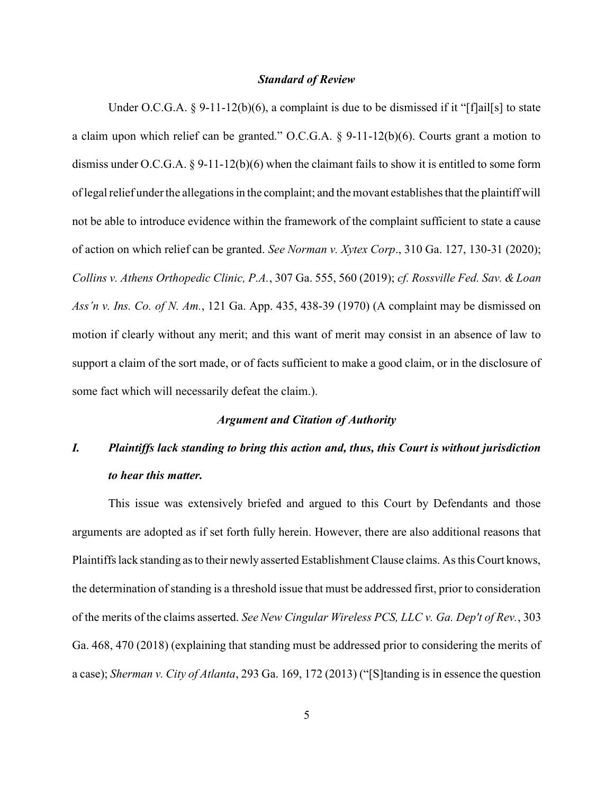#### Standard of Review

Under O.C.G.A.  $\S$  9-11-12(b)(6), a complaint is due to be dismissed if it "[f]ail[s] to state a claim upon which relief can be granted." O.C.G.A. § 9-11-12(b)(6). Courts grant a motion to dismiss under O.C.G.A. § 9-11-12(b)(6) when the claimant fails to show it is entitled to some form of legal relief under the allegations in the complaint; and the movant establishes that the plaintiff will not be able to introduce evidence within the framework of the complaint sufficient to state a cause of action on which relief can be granted. See Norman v. Xytex Corp., 310 Ga. 127, 130-31 (2020); Collins v. Athens Orthopedic Clinic, P.A., 307 Ga. 555, 560 (2019); cf. Rossville Fed. Sav. & Loan Ass'n v. Ins. Co. of N. Am., 121 Ga. App. 435, 438-39 (1970) (A complaint may be dismissed on motion if clearly without any merit; and this want of merit may consist in an absence of law to support a claim of the sort made, or of facts sufficient to make a good claim, or in the disclosure of some fact which will necessarily defeat the claim.).

### Argument and Citation of Authority

# I. Plaintiffs lack standing to bring this action and, thus, this Court is without jurisdiction to hear this matter.

This issue was extensively briefed and argued to this Court by Defendants and those arguments are adopted as if set forth fully herein. However, there are also additional reasons that Plaintiffs lack standing as to their newly asserted Establishment Clause claims. As this Court knows, the determination of standing is a threshold issue that must be addressed first, prior to consideration of the merits of the claims asserted. See New Cingular Wireless PCS, LLC v. Ga. Dep't of Rev., 303 Ga. 468, 470 (2018) (explaining that standing must be addressed prior to considering the merits of a case); Sherman v. City of Atlanta, 293 Ga. 169, 172 (2013) ("[S]tanding is in essence the question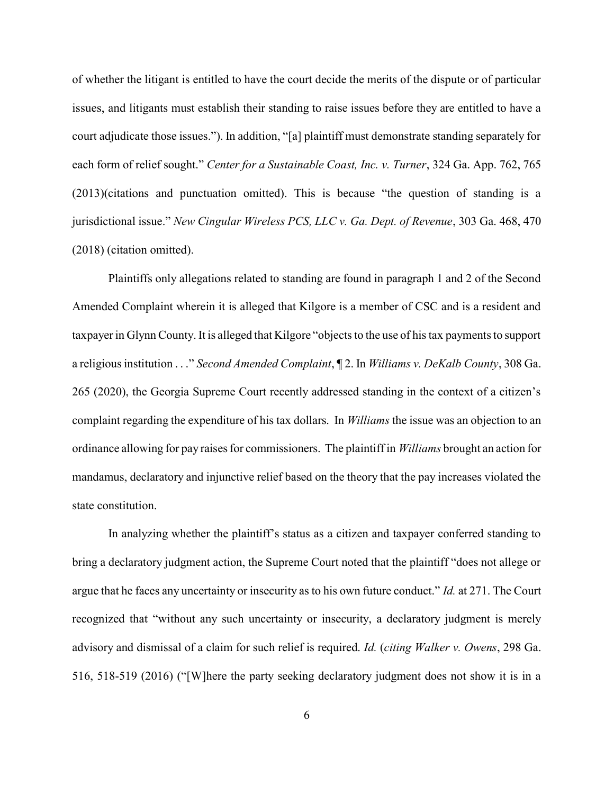of whether the litigant is entitled to have the court decide the merits of the dispute or of particular issues, and litigants must establish their standing to raise issues before they are entitled to have a court adjudicate those issues."). In addition, "[a] plaintiff must demonstrate standing separately for each form of relief sought." Center for a Sustainable Coast, Inc. v. Turner, 324 Ga. App. 762, 765 (2013)(citations and punctuation omitted). This is because "the question of standing is a jurisdictional issue." New Cingular Wireless PCS, LLC v. Ga. Dept. of Revenue, 303 Ga. 468, 470 (2018) (citation omitted).

Plaintiffs only allegations related to standing are found in paragraph 1 and 2 of the Second Amended Complaint wherein it is alleged that Kilgore is a member of CSC and is a resident and taxpayer in Glynn County. It is alleged that Kilgore "objects to the use of his tax payments to support a religious institution . . ." Second Amended Complaint, 12. In Williams v. DeKalb County, 308 Ga. 265 (2020), the Georgia Supreme Court recently addressed standing in the context of a citizen's complaint regarding the expenditure of his tax dollars. In *Williams* the issue was an objection to an ordinance allowing for pay raises for commissioners. The plaintiff in Williams brought an action for mandamus, declaratory and injunctive relief based on the theory that the pay increases violated the state constitution.

In analyzing whether the plaintiff's status as a citizen and taxpayer conferred standing to bring a declaratory judgment action, the Supreme Court noted that the plaintiff "does not allege or argue that he faces any uncertainty or insecurity as to his own future conduct." Id. at 271. The Court recognized that "without any such uncertainty or insecurity, a declaratory judgment is merely advisory and dismissal of a claim for such relief is required. Id. (citing Walker v. Owens, 298 Ga. 516, 518-519 (2016) ("[W]here the party seeking declaratory judgment does not show it is in a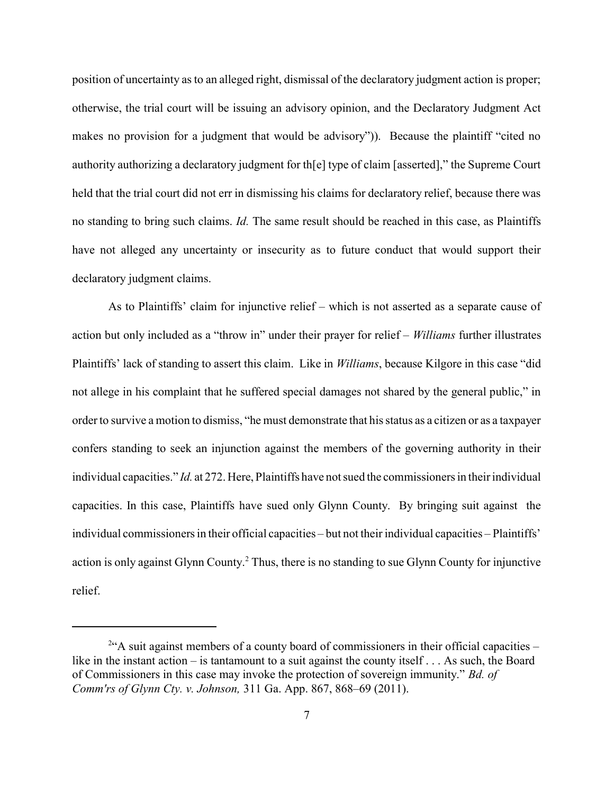position of uncertainty as to an alleged right, dismissal of the declaratory judgment action is proper; otherwise, the trial court will be issuing an advisory opinion, and the Declaratory Judgment Act makes no provision for a judgment that would be advisory")). Because the plaintiff "cited no authority authorizing a declaratory judgment for th[e] type of claim [asserted]," the Supreme Court held that the trial court did not err in dismissing his claims for declaratory relief, because there was no standing to bring such claims. Id. The same result should be reached in this case, as Plaintiffs have not alleged any uncertainty or insecurity as to future conduct that would support their declaratory judgment claims.

As to Plaintiffs' claim for injunctive relief – which is not asserted as a separate cause of action but only included as a "throw in" under their prayer for relief – Williams further illustrates Plaintiffs' lack of standing to assert this claim. Like in Williams, because Kilgore in this case "did not allege in his complaint that he suffered special damages not shared by the general public," in order to survive a motion to dismiss, "he must demonstrate that his status as a citizen or as a taxpayer confers standing to seek an injunction against the members of the governing authority in their individual capacities." Id. at 272. Here, Plaintiffs have not sued the commissioners in their individual capacities. In this case, Plaintiffs have sued only Glynn County. By bringing suit against the individual commissioners in their official capacities – but not their individual capacities – Plaintiffs' action is only against Glynn County.<sup>2</sup> Thus, there is no standing to sue Glynn County for injunctive relief.

 $2\text{``A suit against members of a county board of commissions in their official capacities –}$ like in the instant action – is tantamount to a suit against the county itself . . . As such, the Board of Commissioners in this case may invoke the protection of sovereign immunity." Bd. of Comm'rs of Glynn Cty. v. Johnson, 311 Ga. App. 867, 868–69 (2011).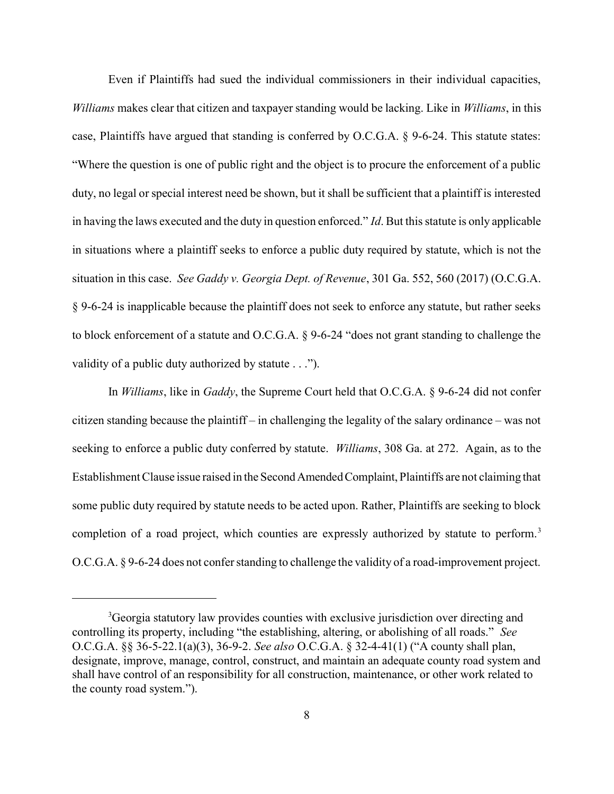Even if Plaintiffs had sued the individual commissioners in their individual capacities, Williams makes clear that citizen and taxpayer standing would be lacking. Like in Williams, in this case, Plaintiffs have argued that standing is conferred by O.C.G.A. § 9-6-24. This statute states: "Where the question is one of public right and the object is to procure the enforcement of a public duty, no legal or special interest need be shown, but it shall be sufficient that a plaintiff is interested in having the laws executed and the duty in question enforced." Id. But this statute is only applicable in situations where a plaintiff seeks to enforce a public duty required by statute, which is not the situation in this case. See Gaddy v. Georgia Dept. of Revenue, 301 Ga. 552, 560 (2017) (O.C.G.A. § 9-6-24 is inapplicable because the plaintiff does not seek to enforce any statute, but rather seeks to block enforcement of a statute and O.C.G.A. § 9-6-24 "does not grant standing to challenge the validity of a public duty authorized by statute . . .").

In *Williams*, like in *Gaddy*, the Supreme Court held that O.C.G.A. § 9-6-24 did not confer citizen standing because the plaintiff – in challenging the legality of the salary ordinance – was not seeking to enforce a public duty conferred by statute. *Williams*, 308 Ga. at 272. Again, as to the Establishment Clause issue raised in the Second Amended Complaint, Plaintiffs are not claiming that some public duty required by statute needs to be acted upon. Rather, Plaintiffs are seeking to block completion of a road project, which counties are expressly authorized by statute to perform.<sup>3</sup> O.C.G.A. § 9-6-24 does not confer standing to challenge the validity of a road-improvement project.

<sup>&</sup>lt;sup>3</sup>Georgia statutory law provides counties with exclusive jurisdiction over directing and controlling its property, including "the establishing, altering, or abolishing of all roads." See O.C.G.A. §§ 36-5-22.1(a)(3), 36-9-2. See also O.C.G.A. § 32-4-41(1) ("A county shall plan, designate, improve, manage, control, construct, and maintain an adequate county road system and shall have control of an responsibility for all construction, maintenance, or other work related to the county road system.").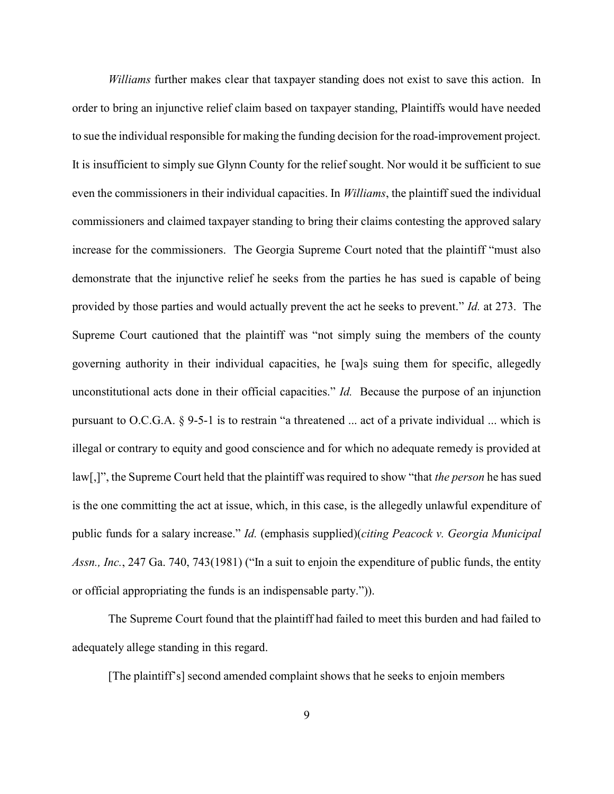Williams further makes clear that taxpayer standing does not exist to save this action. In order to bring an injunctive relief claim based on taxpayer standing, Plaintiffs would have needed to sue the individual responsible for making the funding decision for the road-improvement project. It is insufficient to simply sue Glynn County for the relief sought. Nor would it be sufficient to sue even the commissioners in their individual capacities. In *Williams*, the plaintiff sued the individual commissioners and claimed taxpayer standing to bring their claims contesting the approved salary increase for the commissioners. The Georgia Supreme Court noted that the plaintiff "must also demonstrate that the injunctive relief he seeks from the parties he has sued is capable of being provided by those parties and would actually prevent the act he seeks to prevent." Id. at 273. The Supreme Court cautioned that the plaintiff was "not simply suing the members of the county governing authority in their individual capacities, he [wa]s suing them for specific, allegedly unconstitutional acts done in their official capacities." Id. Because the purpose of an injunction pursuant to O.C.G.A. § 9-5-1 is to restrain "a threatened ... act of a private individual ... which is illegal or contrary to equity and good conscience and for which no adequate remedy is provided at law[,]", the Supreme Court held that the plaintiff was required to show "that *the person* he has sued is the one committing the act at issue, which, in this case, is the allegedly unlawful expenditure of public funds for a salary increase." Id. (emphasis supplied)(citing Peacock v. Georgia Municipal Assn., Inc., 247 Ga. 740, 743(1981) ("In a suit to enjoin the expenditure of public funds, the entity or official appropriating the funds is an indispensable party.")).

The Supreme Court found that the plaintiff had failed to meet this burden and had failed to adequately allege standing in this regard.

[The plaintiff's] second amended complaint shows that he seeks to enjoin members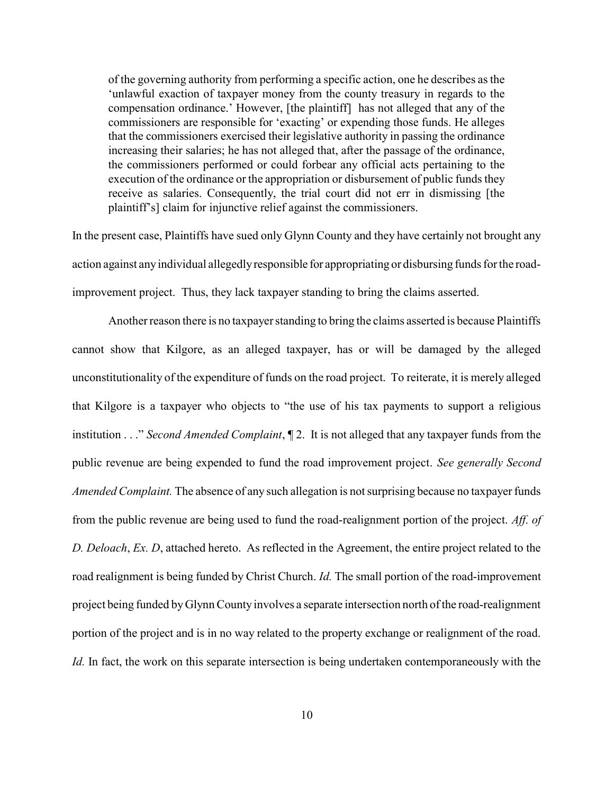of the governing authority from performing a specific action, one he describes as the 'unlawful exaction of taxpayer money from the county treasury in regards to the compensation ordinance.' However, [the plaintiff] has not alleged that any of the commissioners are responsible for 'exacting' or expending those funds. He alleges that the commissioners exercised their legislative authority in passing the ordinance increasing their salaries; he has not alleged that, after the passage of the ordinance, the commissioners performed or could forbear any official acts pertaining to the execution of the ordinance or the appropriation or disbursement of public funds they receive as salaries. Consequently, the trial court did not err in dismissing [the plaintiff's] claim for injunctive relief against the commissioners.

In the present case, Plaintiffs have sued only Glynn County and they have certainly not brought any action against any individual allegedly responsible for appropriating or disbursing funds for the roadimprovement project. Thus, they lack taxpayer standing to bring the claims asserted.

Another reason there is no taxpayer standing to bring the claims asserted is because Plaintiffs cannot show that Kilgore, as an alleged taxpayer, has or will be damaged by the alleged unconstitutionality of the expenditure of funds on the road project. To reiterate, it is merely alleged that Kilgore is a taxpayer who objects to "the use of his tax payments to support a religious institution . . ." Second Amended Complaint,  $\P$  2. It is not alleged that any taxpayer funds from the public revenue are being expended to fund the road improvement project. See generally Second Amended Complaint. The absence of any such allegation is not surprising because no taxpayer funds from the public revenue are being used to fund the road-realignment portion of the project. Aff. of D. Deloach, Ex. D, attached hereto. As reflected in the Agreement, the entire project related to the road realignment is being funded by Christ Church. Id. The small portion of the road-improvement project being funded by Glynn County involves a separate intersection north of the road-realignment portion of the project and is in no way related to the property exchange or realignment of the road. Id. In fact, the work on this separate intersection is being undertaken contemporaneously with the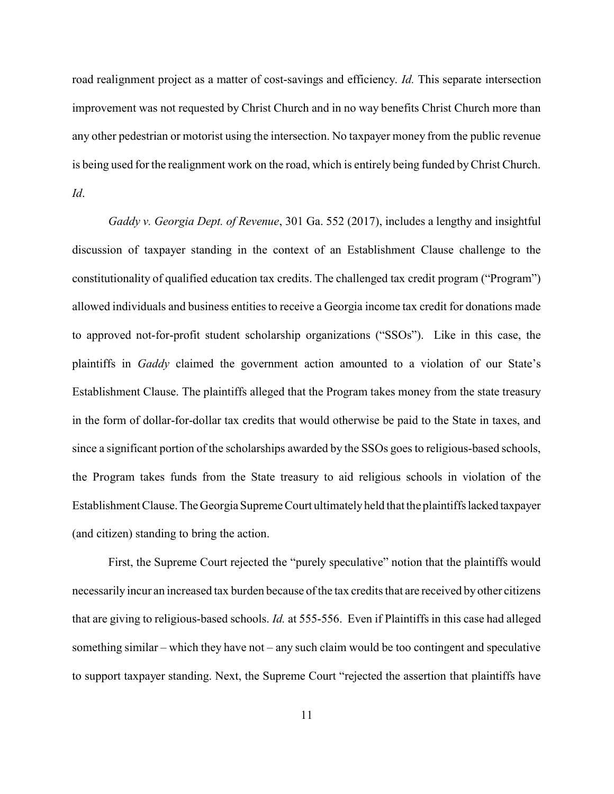road realignment project as a matter of cost-savings and efficiency. Id. This separate intersection improvement was not requested by Christ Church and in no way benefits Christ Church more than any other pedestrian or motorist using the intersection. No taxpayer money from the public revenue is being used for the realignment work on the road, which is entirely being funded by Christ Church. Id.

Gaddy v. Georgia Dept. of Revenue, 301 Ga. 552 (2017), includes a lengthy and insightful discussion of taxpayer standing in the context of an Establishment Clause challenge to the constitutionality of qualified education tax credits. The challenged tax credit program ("Program") allowed individuals and business entities to receive a Georgia income tax credit for donations made to approved not-for-profit student scholarship organizations ("SSOs"). Like in this case, the plaintiffs in Gaddy claimed the government action amounted to a violation of our State's Establishment Clause. The plaintiffs alleged that the Program takes money from the state treasury in the form of dollar-for-dollar tax credits that would otherwise be paid to the State in taxes, and since a significant portion of the scholarships awarded by the SSOs goes to religious-based schools, the Program takes funds from the State treasury to aid religious schools in violation of the Establishment Clause. The Georgia Supreme Court ultimately held that the plaintiffs lacked taxpayer (and citizen) standing to bring the action.

First, the Supreme Court rejected the "purely speculative" notion that the plaintiffs would necessarily incur an increased tax burden because of the tax credits that are received by other citizens that are giving to religious-based schools. Id. at 555-556. Even if Plaintiffs in this case had alleged something similar – which they have not – any such claim would be too contingent and speculative to support taxpayer standing. Next, the Supreme Court "rejected the assertion that plaintiffs have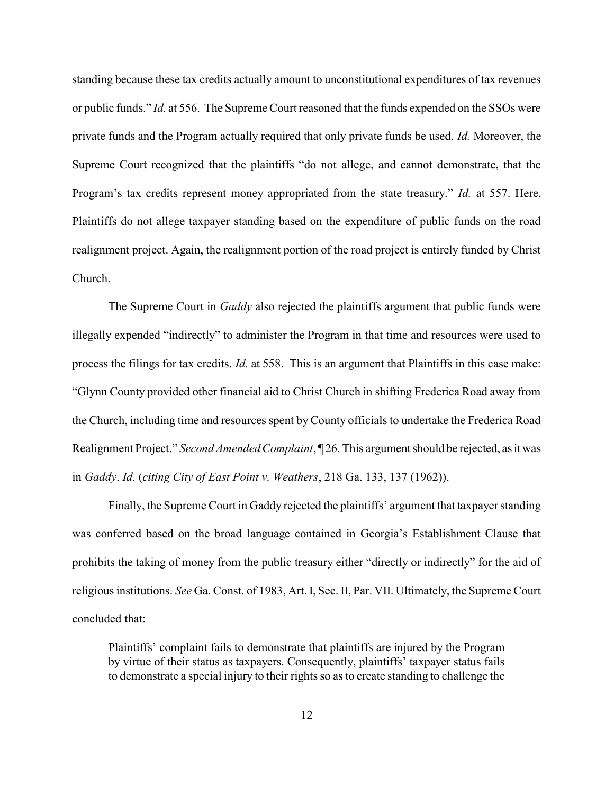standing because these tax credits actually amount to unconstitutional expenditures of tax revenues or public funds." Id. at 556. The Supreme Court reasoned that the funds expended on the SSOs were private funds and the Program actually required that only private funds be used. Id. Moreover, the Supreme Court recognized that the plaintiffs "do not allege, and cannot demonstrate, that the Program's tax credits represent money appropriated from the state treasury." Id. at 557. Here, Plaintiffs do not allege taxpayer standing based on the expenditure of public funds on the road realignment project. Again, the realignment portion of the road project is entirely funded by Christ Church.

The Supreme Court in *Gaddy* also rejected the plaintiffs argument that public funds were illegally expended "indirectly" to administer the Program in that time and resources were used to process the filings for tax credits. Id. at 558. This is an argument that Plaintiffs in this case make: "Glynn County provided other financial aid to Christ Church in shifting Frederica Road away from the Church, including time and resources spent by County officials to undertake the Frederica Road Realignment Project." Second Amended Complaint, 126. This argument should be rejected, as it was in Gaddy. Id. (citing City of East Point v. Weathers, 218 Ga. 133, 137 (1962)).

Finally, the Supreme Court in Gaddy rejected the plaintiffs' argument that taxpayer standing was conferred based on the broad language contained in Georgia's Establishment Clause that prohibits the taking of money from the public treasury either "directly or indirectly" for the aid of religious institutions. See Ga. Const. of 1983, Art. I, Sec. II, Par. VII. Ultimately, the Supreme Court concluded that:

Plaintiffs' complaint fails to demonstrate that plaintiffs are injured by the Program by virtue of their status as taxpayers. Consequently, plaintiffs' taxpayer status fails to demonstrate a special injury to their rights so as to create standing to challenge the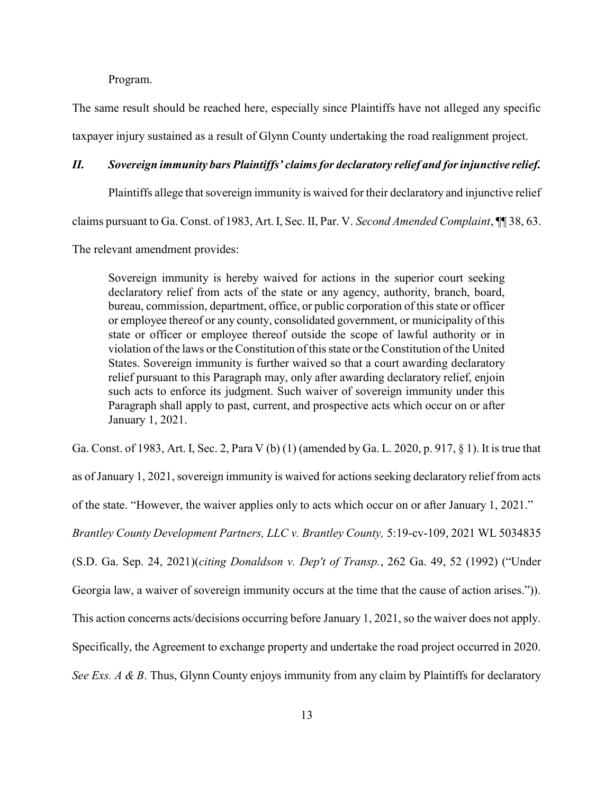Program.

The same result should be reached here, especially since Plaintiffs have not alleged any specific taxpayer injury sustained as a result of Glynn County undertaking the road realignment project.

### II. Sovereign immunity bars Plaintiffs' claims for declaratory relief and for injunctive relief.

Plaintiffs allege that sovereign immunity is waived for their declaratory and injunctive relief

claims pursuant to Ga. Const. of 1983, Art. I, Sec. II, Par. V. Second Amended Complaint,  $\P$  38, 63.

The relevant amendment provides:

Sovereign immunity is hereby waived for actions in the superior court seeking declaratory relief from acts of the state or any agency, authority, branch, board, bureau, commission, department, office, or public corporation of this state or officer or employee thereof or any county, consolidated government, or municipality of this state or officer or employee thereof outside the scope of lawful authority or in violation of the laws or the Constitution of this state or the Constitution of the United States. Sovereign immunity is further waived so that a court awarding declaratory relief pursuant to this Paragraph may, only after awarding declaratory relief, enjoin such acts to enforce its judgment. Such waiver of sovereign immunity under this Paragraph shall apply to past, current, and prospective acts which occur on or after January 1, 2021.

Ga. Const. of 1983, Art. I, Sec. 2, Para V (b) (1) (amended by Ga. L. 2020, p. 917, § 1). It is true that

as of January 1, 2021, sovereign immunity is waived for actions seeking declaratory relief from acts of the state. "However, the waiver applies only to acts which occur on or after January 1, 2021." Brantley County Development Partners, LLC v. Brantley County, 5:19-cv-109, 2021 WL 5034835 (S.D. Ga. Sep. 24, 2021)(citing Donaldson v. Dep't of Transp., 262 Ga. 49, 52 (1992) ("Under Georgia law, a waiver of sovereign immunity occurs at the time that the cause of action arises.")). This action concerns acts/decisions occurring before January 1, 2021, so the waiver does not apply. Specifically, the Agreement to exchange property and undertake the road project occurred in 2020. See Exs.  $A \& B$ . Thus, Glynn County enjoys immunity from any claim by Plaintiffs for declaratory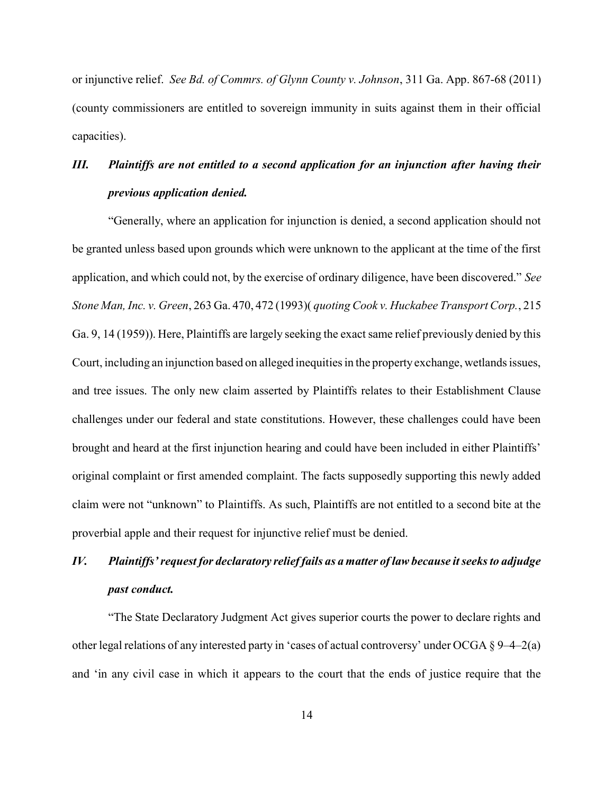or injunctive relief. See Bd. of Commrs. of Glynn County v. Johnson, 311 Ga. App. 867-68 (2011) (county commissioners are entitled to sovereign immunity in suits against them in their official capacities).

# III. Plaintiffs are not entitled to a second application for an injunction after having their previous application denied.

"Generally, where an application for injunction is denied, a second application should not be granted unless based upon grounds which were unknown to the applicant at the time of the first application, and which could not, by the exercise of ordinary diligence, have been discovered." See Stone Man, Inc. v. Green, 263 Ga. 470, 472 (1993)( quoting Cook v. Huckabee Transport Corp., 215 Ga. 9, 14 (1959)). Here, Plaintiffs are largely seeking the exact same relief previously denied by this Court, including an injunction based on alleged inequities in the property exchange, wetlands issues, and tree issues. The only new claim asserted by Plaintiffs relates to their Establishment Clause challenges under our federal and state constitutions. However, these challenges could have been brought and heard at the first injunction hearing and could have been included in either Plaintiffs' original complaint or first amended complaint. The facts supposedly supporting this newly added claim were not "unknown" to Plaintiffs. As such, Plaintiffs are not entitled to a second bite at the proverbial apple and their request for injunctive relief must be denied.

# IV. Plaintiffs' request for declaratory relief fails as a matter of law because it seeks to adjudge past conduct.

"The State Declaratory Judgment Act gives superior courts the power to declare rights and other legal relations of any interested party in 'cases of actual controversy' under OCGA § 9–4–2(a) and 'in any civil case in which it appears to the court that the ends of justice require that the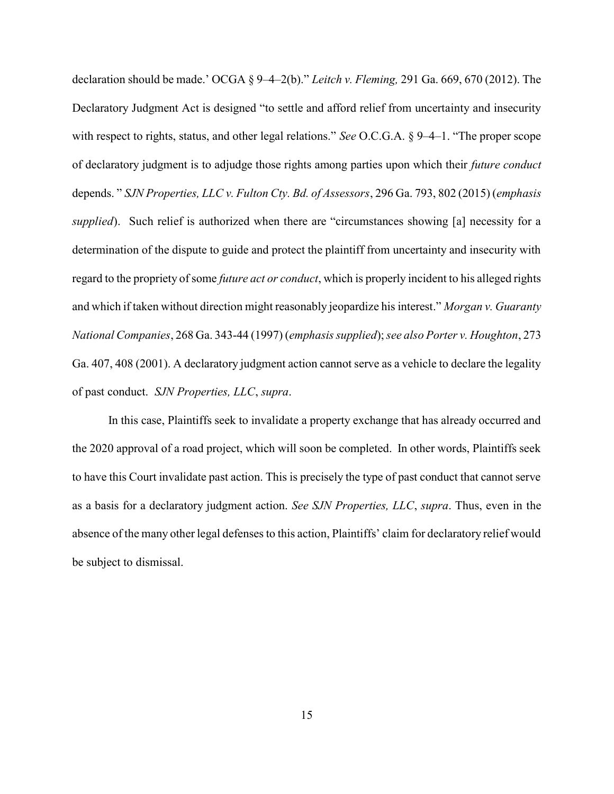declaration should be made.' OCGA § 9-4-2(b)." Leitch v. Fleming, 291 Ga. 669, 670 (2012). The Declaratory Judgment Act is designed "to settle and afford relief from uncertainty and insecurity with respect to rights, status, and other legal relations." See O.C.G.A. § 9–4–1. "The proper scope of declaratory judgment is to adjudge those rights among parties upon which their future conduct depends." SJN Properties, LLC v. Fulton Cty. Bd. of Assessors, 296 Ga. 793, 802 (2015) (emphasis supplied). Such relief is authorized when there are "circumstances showing [a] necessity for a determination of the dispute to guide and protect the plaintiff from uncertainty and insecurity with regard to the propriety of some *future act or conduct*, which is properly incident to his alleged rights and which if taken without direction might reasonably jeopardize his interest." Morgan v. Guaranty National Companies, 268 Ga. 343-44 (1997) (emphasis supplied); see also Porter v. Houghton, 273 Ga. 407, 408 (2001). A declaratory judgment action cannot serve as a vehicle to declare the legality of past conduct. SJN Properties, LLC, supra.

In this case, Plaintiffs seek to invalidate a property exchange that has already occurred and the 2020 approval of a road project, which will soon be completed. In other words, Plaintiffs seek to have this Court invalidate past action. This is precisely the type of past conduct that cannot serve as a basis for a declaratory judgment action. See SJN Properties, LLC, supra. Thus, even in the absence of the many other legal defenses to this action, Plaintiffs' claim for declaratory relief would be subject to dismissal.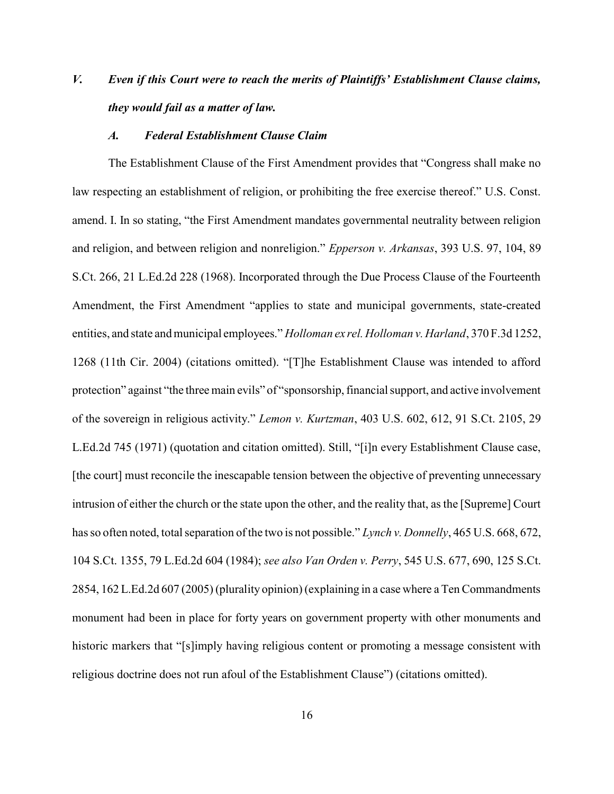# V. Even if this Court were to reach the merits of Plaintiffs' Establishment Clause claims, they would fail as a matter of law.

#### A. Federal Establishment Clause Claim

The Establishment Clause of the First Amendment provides that "Congress shall make no law respecting an establishment of religion, or prohibiting the free exercise thereof." U.S. Const. amend. I. In so stating, "the First Amendment mandates governmental neutrality between religion and religion, and between religion and nonreligion." Epperson v. Arkansas, 393 U.S. 97, 104, 89 S.Ct. 266, 21 L.Ed.2d 228 (1968). Incorporated through the Due Process Clause of the Fourteenth Amendment, the First Amendment "applies to state and municipal governments, state-created entities, and state and municipal employees." Holloman ex rel. Holloman v. Harland, 370 F.3d 1252, 1268 (11th Cir. 2004) (citations omitted). "[T]he Establishment Clause was intended to afford protection" against "the three main evils" of "sponsorship, financial support, and active involvement of the sovereign in religious activity." Lemon v. Kurtzman, 403 U.S. 602, 612, 91 S.Ct. 2105, 29 L.Ed.2d 745 (1971) (quotation and citation omitted). Still, "[i]n every Establishment Clause case, [the court] must reconcile the inescapable tension between the objective of preventing unnecessary intrusion of either the church or the state upon the other, and the reality that, as the [Supreme] Court has so often noted, total separation of the two is not possible." Lynch v. Donnelly, 465 U.S. 668, 672, 104 S.Ct. 1355, 79 L.Ed.2d 604 (1984); see also Van Orden v. Perry, 545 U.S. 677, 690, 125 S.Ct. 2854, 162 L.Ed.2d 607 (2005) (plurality opinion) (explaining in a case where a Ten Commandments monument had been in place for forty years on government property with other monuments and historic markers that "[s]imply having religious content or promoting a message consistent with religious doctrine does not run afoul of the Establishment Clause") (citations omitted).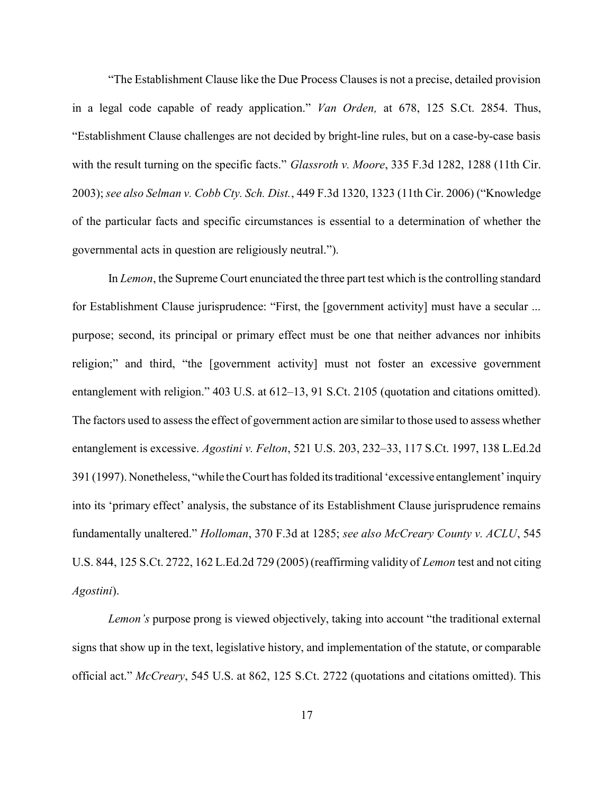"The Establishment Clause like the Due Process Clauses is not a precise, detailed provision in a legal code capable of ready application." Van Orden, at 678, 125 S.Ct. 2854. Thus, "Establishment Clause challenges are not decided by bright-line rules, but on a case-by-case basis with the result turning on the specific facts." Glassroth v. Moore, 335 F.3d 1282, 1288 (11th Cir. 2003); see also Selman v. Cobb Cty. Sch. Dist., 449 F.3d 1320, 1323 (11th Cir. 2006) ("Knowledge of the particular facts and specific circumstances is essential to a determination of whether the governmental acts in question are religiously neutral.").

In Lemon, the Supreme Court enunciated the three part test which is the controlling standard for Establishment Clause jurisprudence: "First, the [government activity] must have a secular ... purpose; second, its principal or primary effect must be one that neither advances nor inhibits religion;" and third, "the [government activity] must not foster an excessive government entanglement with religion." 403 U.S. at 612–13, 91 S.Ct. 2105 (quotation and citations omitted). The factors used to assess the effect of government action are similar to those used to assess whether entanglement is excessive. Agostini v. Felton, 521 U.S. 203, 232–33, 117 S.Ct. 1997, 138 L.Ed.2d 391 (1997). Nonetheless, "while the Court has folded its traditional 'excessive entanglement' inquiry into its 'primary effect' analysis, the substance of its Establishment Clause jurisprudence remains fundamentally unaltered." Holloman, 370 F.3d at 1285; see also McCreary County v. ACLU, 545 U.S. 844, 125 S.Ct. 2722, 162 L.Ed.2d 729 (2005) (reaffirming validity of Lemon test and not citing Agostini).

Lemon's purpose prong is viewed objectively, taking into account "the traditional external signs that show up in the text, legislative history, and implementation of the statute, or comparable official act." McCreary, 545 U.S. at 862, 125 S.Ct. 2722 (quotations and citations omitted). This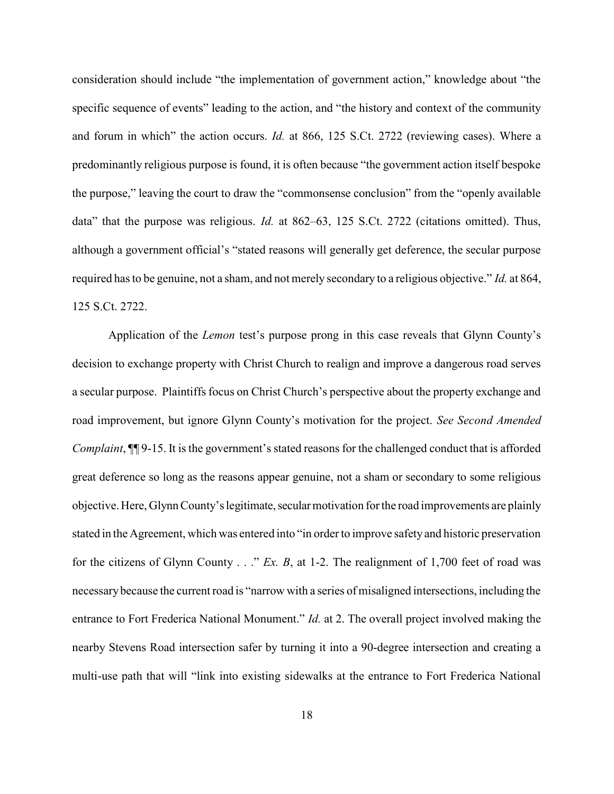consideration should include "the implementation of government action," knowledge about "the specific sequence of events" leading to the action, and "the history and context of the community and forum in which" the action occurs. Id. at 866, 125 S.Ct. 2722 (reviewing cases). Where a predominantly religious purpose is found, it is often because "the government action itself bespoke the purpose," leaving the court to draw the "commonsense conclusion" from the "openly available data" that the purpose was religious. *Id.* at 862–63, 125 S.Ct. 2722 (citations omitted). Thus, although a government official's "stated reasons will generally get deference, the secular purpose required has to be genuine, not a sham, and not merely secondary to a religious objective." Id. at 864, 125 S.Ct. 2722.

Application of the *Lemon* test's purpose prong in this case reveals that Glynn County's decision to exchange property with Christ Church to realign and improve a dangerous road serves a secular purpose. Plaintiffs focus on Christ Church's perspective about the property exchange and road improvement, but ignore Glynn County's motivation for the project. See Second Amended Complaint, ¶¶ 9-15. It is the government's stated reasons for the challenged conduct that is afforded great deference so long as the reasons appear genuine, not a sham or secondary to some religious objective. Here, Glynn County's legitimate, secular motivation for the road improvements are plainly stated in the Agreement, which was entered into "in order to improve safety and historic preservation for the citizens of Glynn County  $\ldots$ " Ex. B, at 1-2. The realignment of 1,700 feet of road was necessary because the current road is "narrow with a series of misaligned intersections, including the entrance to Fort Frederica National Monument." *Id.* at 2. The overall project involved making the nearby Stevens Road intersection safer by turning it into a 90-degree intersection and creating a multi-use path that will "link into existing sidewalks at the entrance to Fort Frederica National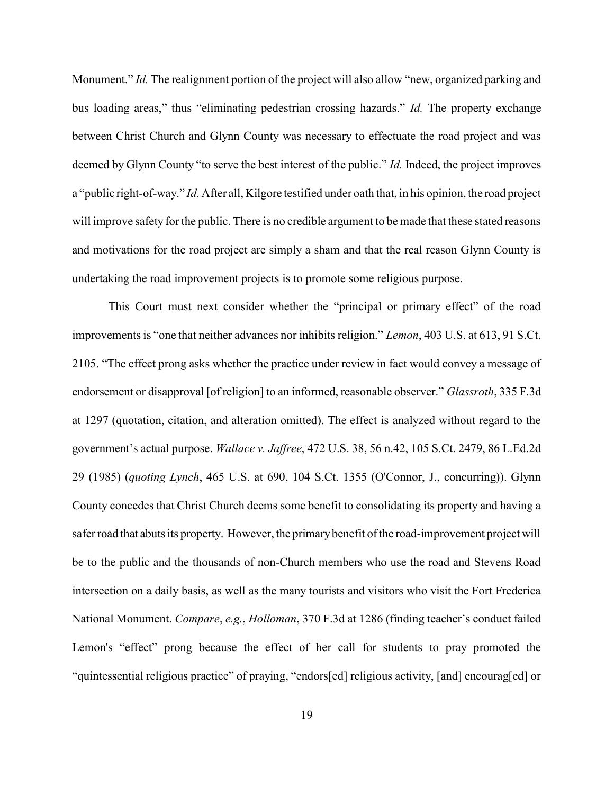Monument." Id. The realignment portion of the project will also allow "new, organized parking and bus loading areas," thus "eliminating pedestrian crossing hazards." Id. The property exchange between Christ Church and Glynn County was necessary to effectuate the road project and was deemed by Glynn County "to serve the best interest of the public." Id. Indeed, the project improves a "public right-of-way." Id. After all, Kilgore testified under oath that, in his opinion, the road project will improve safety for the public. There is no credible argument to be made that these stated reasons and motivations for the road project are simply a sham and that the real reason Glynn County is undertaking the road improvement projects is to promote some religious purpose.

This Court must next consider whether the "principal or primary effect" of the road improvements is "one that neither advances nor inhibits religion." Lemon, 403 U.S. at 613, 91 S.Ct. 2105. "The effect prong asks whether the practice under review in fact would convey a message of endorsement or disapproval [of religion] to an informed, reasonable observer." Glassroth, 335 F.3d at 1297 (quotation, citation, and alteration omitted). The effect is analyzed without regard to the government's actual purpose. Wallace v. Jaffree, 472 U.S. 38, 56 n.42, 105 S.Ct. 2479, 86 L.Ed.2d 29 (1985) (quoting Lynch, 465 U.S. at 690, 104 S.Ct. 1355 (O'Connor, J., concurring)). Glynn County concedes that Christ Church deems some benefit to consolidating its property and having a safer road that abuts its property. However, the primary benefit of the road-improvement project will be to the public and the thousands of non-Church members who use the road and Stevens Road intersection on a daily basis, as well as the many tourists and visitors who visit the Fort Frederica National Monument. Compare, e.g., Holloman, 370 F.3d at 1286 (finding teacher's conduct failed Lemon's "effect" prong because the effect of her call for students to pray promoted the "quintessential religious practice" of praying, "endors[ed] religious activity, [and] encourag[ed] or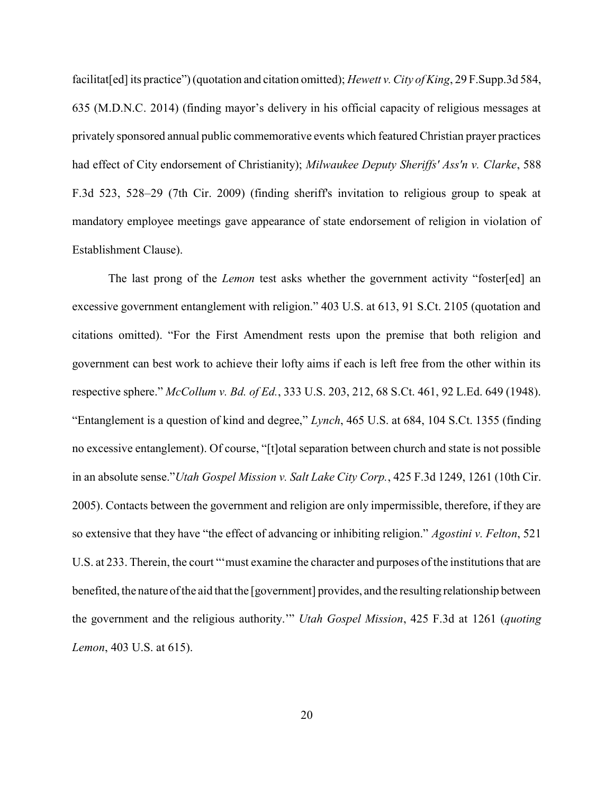facilitat[ed] its practice") (quotation and citation omitted); Hewett v. City of King, 29 F. Supp.3d 584, 635 (M.D.N.C. 2014) (finding mayor's delivery in his official capacity of religious messages at privately sponsored annual public commemorative events which featured Christian prayer practices had effect of City endorsement of Christianity); Milwaukee Deputy Sheriffs' Ass'n v. Clarke, 588 F.3d 523, 528–29 (7th Cir. 2009) (finding sheriff's invitation to religious group to speak at mandatory employee meetings gave appearance of state endorsement of religion in violation of Establishment Clause).

The last prong of the *Lemon* test asks whether the government activity "foster[ed] an excessive government entanglement with religion." 403 U.S. at 613, 91 S.Ct. 2105 (quotation and citations omitted). "For the First Amendment rests upon the premise that both religion and government can best work to achieve their lofty aims if each is left free from the other within its respective sphere." McCollum v. Bd. of Ed., 333 U.S. 203, 212, 68 S.Ct. 461, 92 L.Ed. 649 (1948). "Entanglement is a question of kind and degree," Lynch, 465 U.S. at 684, 104 S.Ct. 1355 (finding no excessive entanglement). Of course, "[t]otal separation between church and state is not possible in an absolute sense."Utah Gospel Mission v. Salt Lake City Corp., 425 F.3d 1249, 1261 (10th Cir. 2005). Contacts between the government and religion are only impermissible, therefore, if they are so extensive that they have "the effect of advancing or inhibiting religion." Agostini v. Felton, 521 U.S. at 233. Therein, the court "'must examine the character and purposes of the institutions that are benefited, the nature of the aid that the [government] provides, and the resulting relationship between the government and the religious authority." Utah Gospel Mission, 425 F.3d at 1261 (quoting Lemon, 403 U.S. at 615).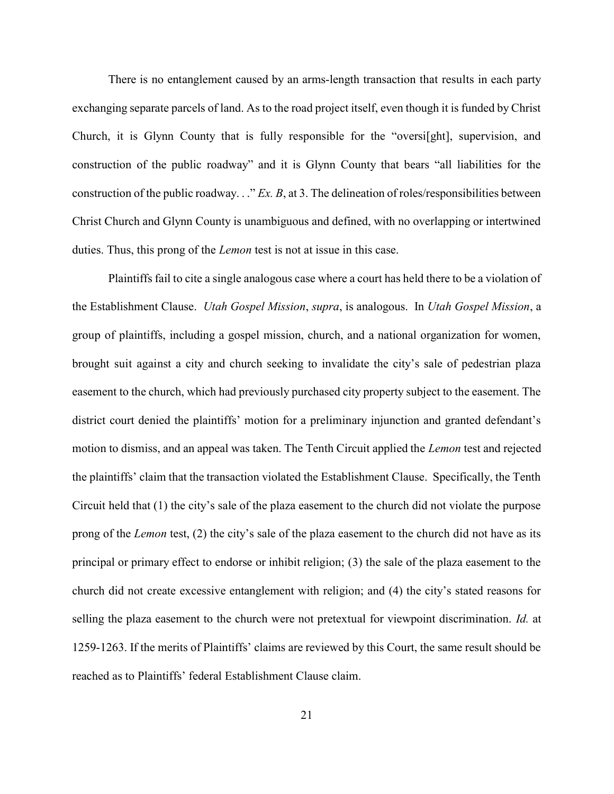There is no entanglement caused by an arms-length transaction that results in each party exchanging separate parcels of land. As to the road project itself, even though it is funded by Christ Church, it is Glynn County that is fully responsible for the "oversi[ght], supervision, and construction of the public roadway" and it is Glynn County that bears "all liabilities for the construction of the public roadway.  $\therefore$  Ex. B, at 3. The delineation of roles/responsibilities between Christ Church and Glynn County is unambiguous and defined, with no overlapping or intertwined duties. Thus, this prong of the Lemon test is not at issue in this case.

Plaintiffs fail to cite a single analogous case where a court has held there to be a violation of the Establishment Clause. Utah Gospel Mission, supra, is analogous. In Utah Gospel Mission, a group of plaintiffs, including a gospel mission, church, and a national organization for women, brought suit against a city and church seeking to invalidate the city's sale of pedestrian plaza easement to the church, which had previously purchased city property subject to the easement. The district court denied the plaintiffs' motion for a preliminary injunction and granted defendant's motion to dismiss, and an appeal was taken. The Tenth Circuit applied the Lemon test and rejected the plaintiffs' claim that the transaction violated the Establishment Clause. Specifically, the Tenth Circuit held that (1) the city's sale of the plaza easement to the church did not violate the purpose prong of the *Lemon* test, (2) the city's sale of the plaza easement to the church did not have as its principal or primary effect to endorse or inhibit religion; (3) the sale of the plaza easement to the church did not create excessive entanglement with religion; and (4) the city's stated reasons for selling the plaza easement to the church were not pretextual for viewpoint discrimination. *Id.* at 1259-1263. If the merits of Plaintiffs' claims are reviewed by this Court, the same result should be reached as to Plaintiffs' federal Establishment Clause claim.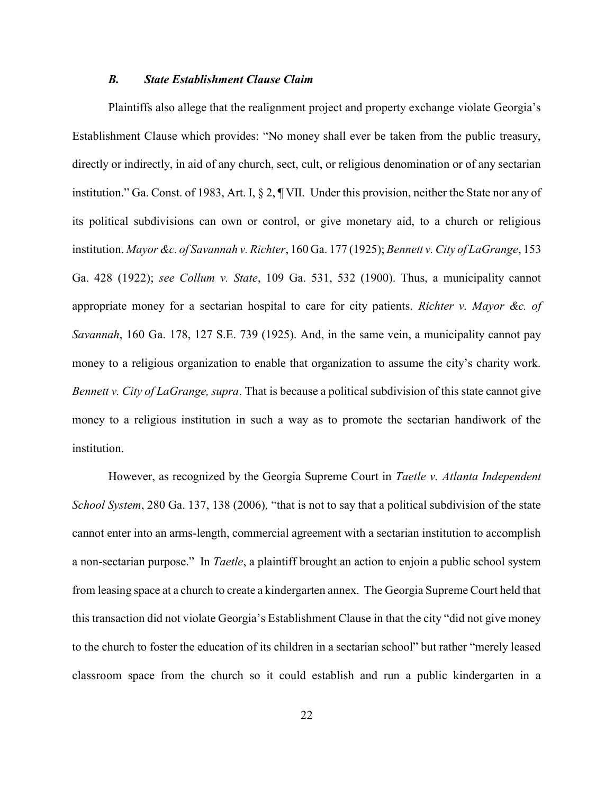#### B. State Establishment Clause Claim

Plaintiffs also allege that the realignment project and property exchange violate Georgia's Establishment Clause which provides: "No money shall ever be taken from the public treasury, directly or indirectly, in aid of any church, sect, cult, or religious denomination or of any sectarian institution." Ga. Const. of 1983, Art. I, § 2, ¶ VII. Under this provision, neither the State nor any of its political subdivisions can own or control, or give monetary aid, to a church or religious institution. Mayor &c. of Savannah v. Richter, 160 Ga. 177 (1925); Bennett v. City of LaGrange, 153 Ga. 428 (1922); see Collum v. State, 109 Ga. 531, 532 (1900). Thus, a municipality cannot appropriate money for a sectarian hospital to care for city patients. Richter v. Mayor &c. of Savannah, 160 Ga. 178, 127 S.E. 739 (1925). And, in the same vein, a municipality cannot pay money to a religious organization to enable that organization to assume the city's charity work. Bennett v. City of LaGrange, supra. That is because a political subdivision of this state cannot give money to a religious institution in such a way as to promote the sectarian handiwork of the institution.

However, as recognized by the Georgia Supreme Court in Taetle v. Atlanta Independent School System, 280 Ga. 137, 138 (2006), "that is not to say that a political subdivision of the state cannot enter into an arms-length, commercial agreement with a sectarian institution to accomplish a non-sectarian purpose." In *Taetle*, a plaintiff brought an action to enjoin a public school system from leasing space at a church to create a kindergarten annex. The Georgia Supreme Court held that this transaction did not violate Georgia's Establishment Clause in that the city "did not give money to the church to foster the education of its children in a sectarian school" but rather "merely leased classroom space from the church so it could establish and run a public kindergarten in a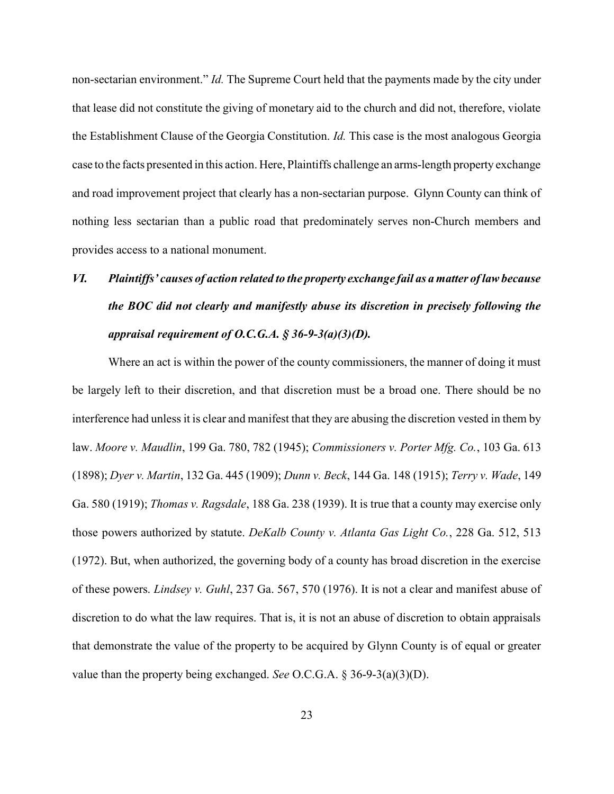non-sectarian environment." Id. The Supreme Court held that the payments made by the city under that lease did not constitute the giving of monetary aid to the church and did not, therefore, violate the Establishment Clause of the Georgia Constitution. Id. This case is the most analogous Georgia case to the facts presented in this action. Here, Plaintiffs challenge an arms-length property exchange and road improvement project that clearly has a non-sectarian purpose. Glynn County can think of nothing less sectarian than a public road that predominately serves non-Church members and provides access to a national monument.

# VI. Plaintiffs' causes of action related to the property exchange fail as a matter of law because the BOC did not clearly and manifestly abuse its discretion in precisely following the appraisal requirement of O.C.G.A.  $\S 36-9-3(a)(3)(D)$ .

Where an act is within the power of the county commissioners, the manner of doing it must be largely left to their discretion, and that discretion must be a broad one. There should be no interference had unless it is clear and manifest that they are abusing the discretion vested in them by law. Moore v. Maudlin, 199 Ga. 780, 782 (1945); Commissioners v. Porter Mfg. Co., 103 Ga. 613 (1898); Dyer v. Martin, 132 Ga. 445 (1909); Dunn v. Beck, 144 Ga. 148 (1915); Terry v. Wade, 149 Ga. 580 (1919); Thomas v. Ragsdale, 188 Ga. 238 (1939). It is true that a county may exercise only those powers authorized by statute. DeKalb County v. Atlanta Gas Light Co., 228 Ga. 512, 513 (1972). But, when authorized, the governing body of a county has broad discretion in the exercise of these powers. Lindsey v. Guhl, 237 Ga. 567, 570 (1976). It is not a clear and manifest abuse of discretion to do what the law requires. That is, it is not an abuse of discretion to obtain appraisals that demonstrate the value of the property to be acquired by Glynn County is of equal or greater value than the property being exchanged. See O.C.G.A. § 36-9-3(a)(3)(D).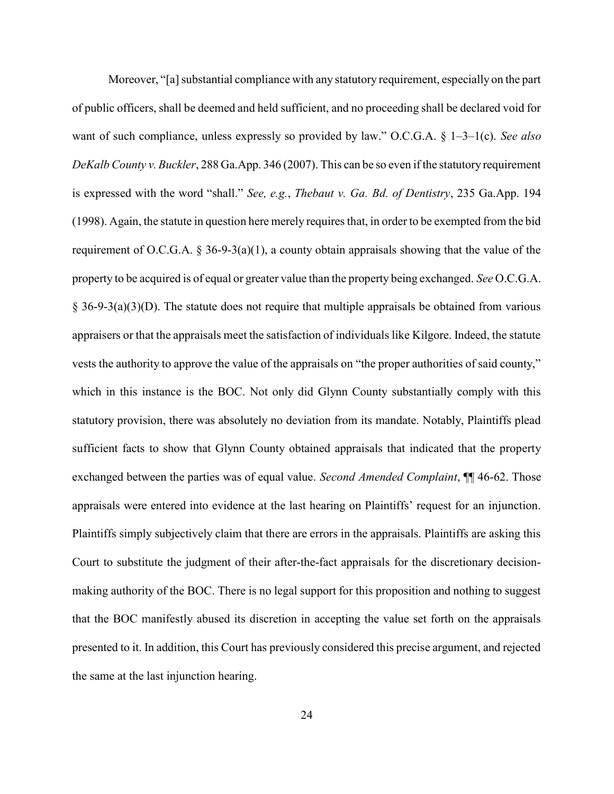Moreover, "[a] substantial compliance with any statutory requirement, especially on the part of public officers, shall be deemed and held sufficient, and no proceeding shall be declared void for want of such compliance, unless expressly so provided by law." O.C.G.A.  $\S$  1–3–1(c). See also DeKalb County v. Buckler, 288 Ga.App. 346 (2007). This can be so even if the statutory requirement is expressed with the word "shall." See, e.g., Thebaut v. Ga. Bd. of Dentistry, 235 Ga.App. 194 (1998). Again, the statute in question here merely requires that, in order to be exempted from the bid requirement of O.C.G.A.  $\S$  36-9-3(a)(1), a county obtain appraisals showing that the value of the property to be acquired is of equal or greater value than the property being exchanged. See O.C.G.A. § 36-9-3(a)(3)(D). The statute does not require that multiple appraisals be obtained from various appraisers or that the appraisals meet the satisfaction of individuals like Kilgore. Indeed, the statute vests the authority to approve the value of the appraisals on "the proper authorities of said county," which in this instance is the BOC. Not only did Glynn County substantially comply with this statutory provision, there was absolutely no deviation from its mandate. Notably, Plaintiffs plead sufficient facts to show that Glynn County obtained appraisals that indicated that the property exchanged between the parties was of equal value. Second Amended Complaint,  $\P$  46-62. Those appraisals were entered into evidence at the last hearing on Plaintiffs' request for an injunction. Plaintiffs simply subjectively claim that there are errors in the appraisals. Plaintiffs are asking this Court to substitute the judgment of their after-the-fact appraisals for the discretionary decisionmaking authority of the BOC. There is no legal support for this proposition and nothing to suggest that the BOC manifestly abused its discretion in accepting the value set forth on the appraisals presented to it. In addition, this Court has previously considered this precise argument, and rejected the same at the last injunction hearing.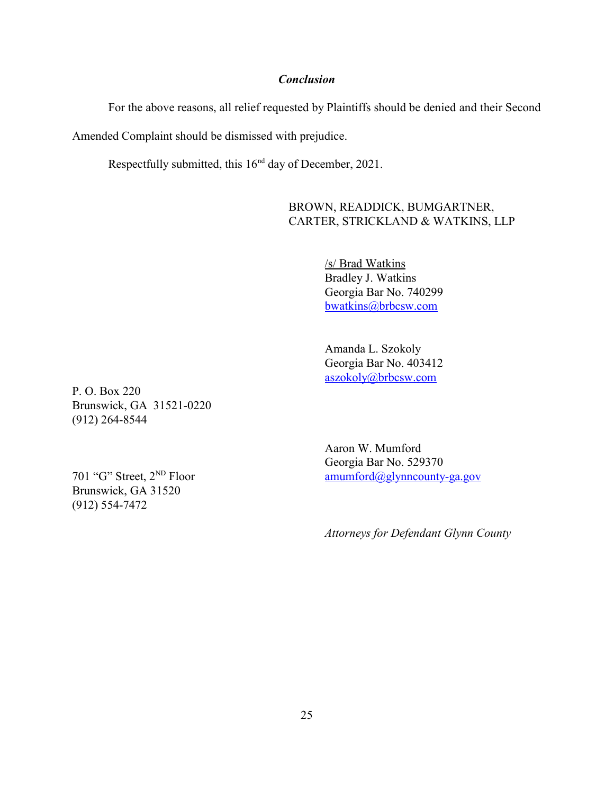### Conclusion

For the above reasons, all relief requested by Plaintiffs should be denied and their Second

Amended Complaint should be dismissed with prejudice.

Respectfully submitted, this 16<sup>nd</sup> day of December, 2021.

BROWN, READDICK, BUMGARTNER, CARTER, STRICKLAND & WATKINS, LLP

> /s/ Brad Watkins Bradley J. Watkins Georgia Bar No. 740299 bwatkins@brbcsw.com

> Amanda L. Szokoly Georgia Bar No. 403412 aszokoly@brbcsw.com

P. O. Box 220 Brunswick, GA 31521-0220 (912) 264-8544

Brunswick, GA 31520 (912) 554-7472

Aaron W. Mumford Georgia Bar No. 529370 701 "G" Street,  $2^{ND}$  Floor amumford $\left(\frac{\partial g}{\partial y}\right)$  amumford $\left(\frac{\partial g}{\partial y}\right)$  amumford $\left(\frac{\partial g}{\partial y}\right)$  amumford  $\left(\frac{\partial g}{\partial y}\right)$  amumford  $\left(\frac{\partial g}{\partial y}\right)$  and  $\left(\frac{\partial g}{\partial y}\right)$  amumford  $\left(\frac{\partial g}{\partial y}\right)$  and  $\left(\frac{\partial g}{\partial x}\right$ 

Attorneys for Defendant Glynn County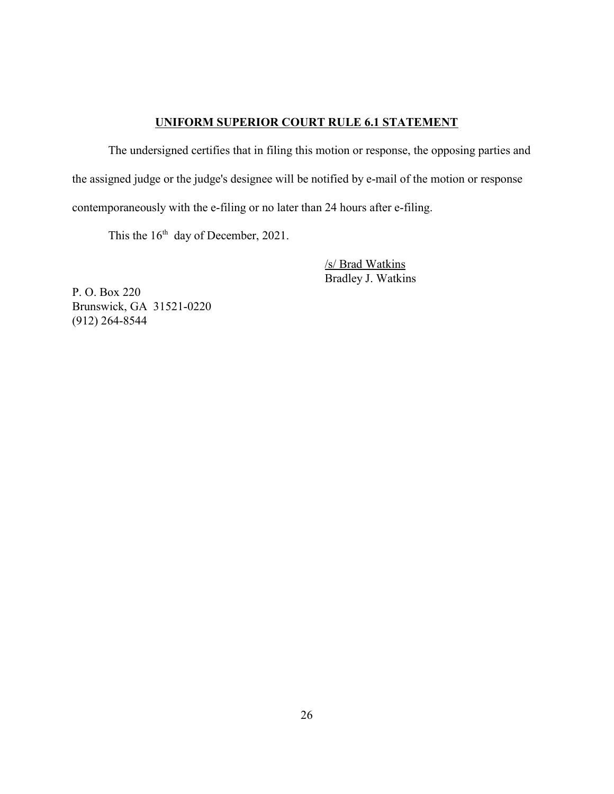### UNIFORM SUPERIOR COURT RULE 6.1 STATEMENT

The undersigned certifies that in filing this motion or response, the opposing parties and the assigned judge or the judge's designee will be notified by e-mail of the motion or response contemporaneously with the e-filing or no later than 24 hours after e-filing.

This the  $16<sup>th</sup>$  day of December, 2021.

/s/ Brad Watkins Bradley J. Watkins

P. O. Box 220 Brunswick, GA 31521-0220 (912) 264-8544